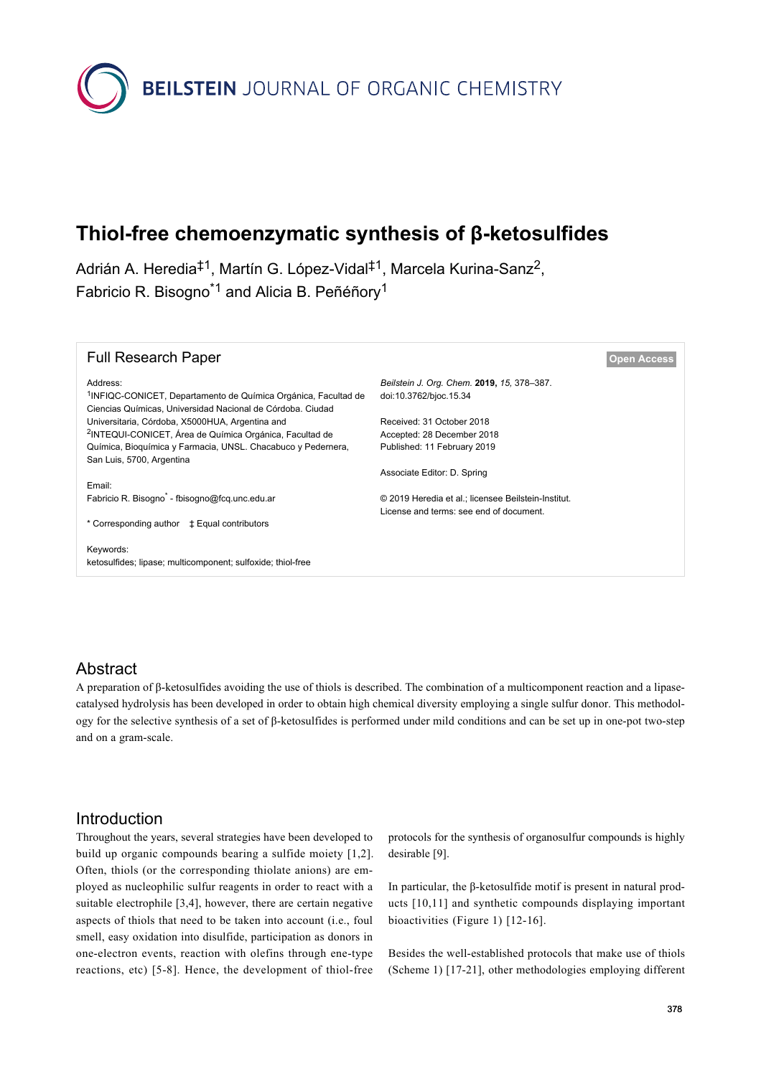

# **Thiol-free chemoenzymatic synthesis of β-ketosulfides**

Adrián A. Heredia<sup>‡1</sup>, Martín G. López-Vidal<sup>‡1</sup>, Marcela Kurina-Sanz<sup>2</sup>, Fabricio R. Bisogno<sup>\*1</sup> and Alicia B. Peñéñory<sup>1</sup>

| <b>Full Research Paper</b>                                                                                                               |                                                     | <b>Open Access</b> |
|------------------------------------------------------------------------------------------------------------------------------------------|-----------------------------------------------------|--------------------|
| Address:                                                                                                                                 | Beilstein J. Org. Chem. 2019, 15, 378-387.          |                    |
| <sup>1</sup> INFIQC-CONICET, Departamento de Química Orgánica, Facultad de<br>Ciencias Químicas, Universidad Nacional de Córdoba. Ciudad | doi:10.3762/bjoc.15.34                              |                    |
| Universitaria, Córdoba, X5000HUA, Argentina and                                                                                          | Received: 31 October 2018                           |                    |
| <sup>2</sup> INTEQUI-CONICET, Área de Química Orgánica, Facultad de                                                                      | Accepted: 28 December 2018                          |                    |
| Química, Bioguímica y Farmacia, UNSL. Chacabuco y Pedernera,                                                                             | Published: 11 February 2019                         |                    |
| San Luis, 5700, Argentina                                                                                                                |                                                     |                    |
|                                                                                                                                          | Associate Editor: D. Spring                         |                    |
| Email:                                                                                                                                   |                                                     |                    |
| Fabricio R. Bisogno <sup>*</sup> - fbisogno@fcg.unc.edu.ar                                                                               | © 2019 Heredia et al.; licensee Beilstein-Institut. |                    |
|                                                                                                                                          | License and terms: see end of document.             |                    |
| * Corresponding author $\qquadpm$ Equal contributors                                                                                     |                                                     |                    |
|                                                                                                                                          |                                                     |                    |
| Keywords:<br>ketosulfides; lipase; multicomponent; sulfoxide; thiol-free                                                                 |                                                     |                    |

### Abstract

A preparation of β-ketosulfides avoiding the use of thiols is described. The combination of a multicomponent reaction and a lipasecatalysed hydrolysis has been developed in order to obtain high chemical diversity employing a single sulfur donor. This methodology for the selective synthesis of a set of β-ketosulfides is performed under mild conditions and can be set up in one-pot two-step and on a gram-scale.

# Introduction

Throughout the years, several strategies have been developed to build up organic compounds bearing a sulfide moiety [\[1,2\]](#page-7-0). Often, thiols (or the corresponding thiolate anions) are employed as nucleophilic sulfur reagents in order to react with a suitable electrophile [\[3,4\]](#page-7-1), however, there are certain negative aspects of thiols that need to be taken into account (i.e., foul smell, easy oxidation into disulfide, participation as donors in one-electron events, reaction with olefins through ene-type reactions, etc) [\[5-8\]](#page-7-2). Hence, the development of thiol-free

protocols for the synthesis of organosulfur compounds is highly desirable [\[9\]](#page-8-0).

In particular, the β-ketosulfide motif is present in natural products [\[10,11\]](#page-8-1) and synthetic compounds displaying important bioactivities [\(Figure 1](#page-1-0)) [\[12-16\].](#page-8-2)

Besides the well-established protocols that make use of thiols ([Scheme 1](#page-1-1)) [\[17-21\],](#page-8-3) other methodologies employing different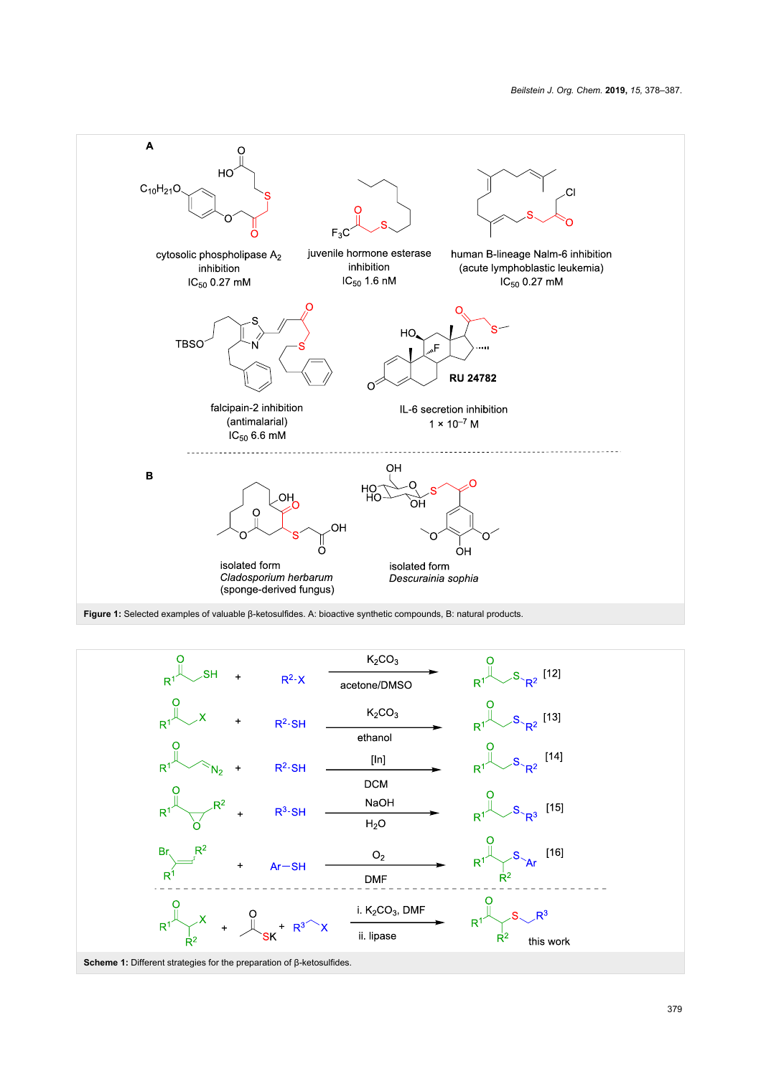<span id="page-1-0"></span>

<span id="page-1-1"></span>**Figure 1:** Selected examples of valuable β-ketosulfides. A: bioactive synthetic compounds, B: natural products.

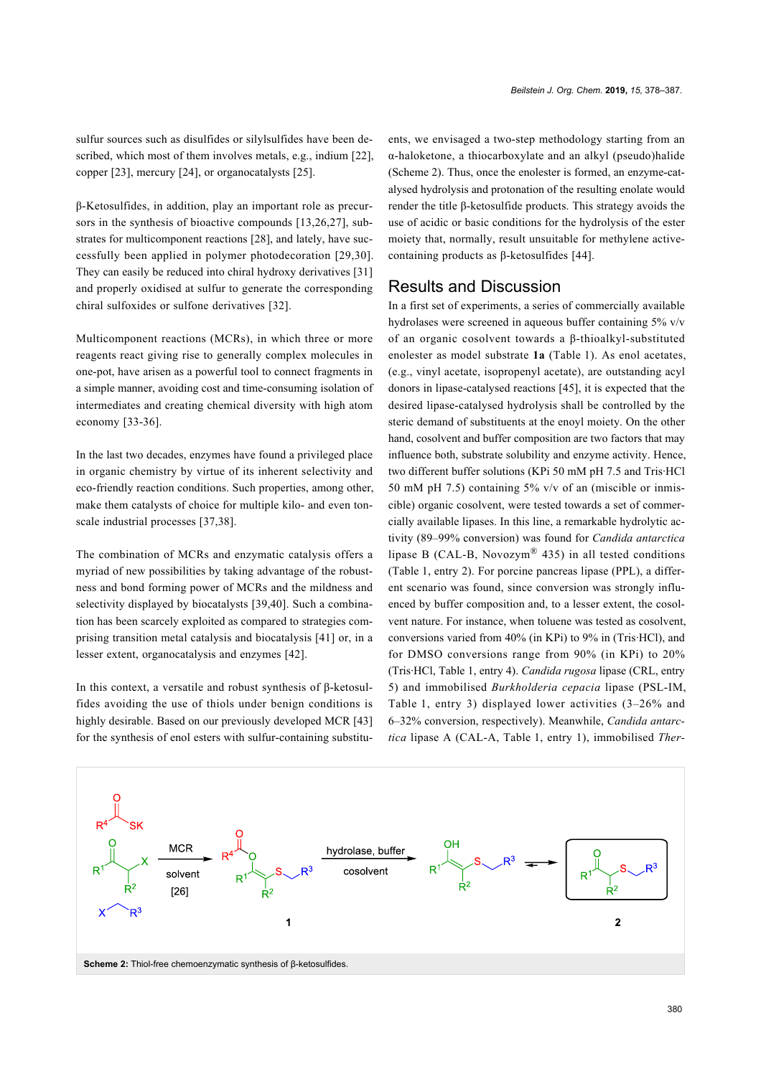sulfur sources such as disulfides or silylsulfides have been described, which most of them involves metals, e.g., indium [\[22\]](#page-8-4), copper [\[23\]](#page-8-5), mercury [\[24\],](#page-8-6) or organocatalysts [\[25\]](#page-8-7).

β-Ketosulfides, in addition, play an important role as precursors in the synthesis of bioactive compounds [\[13,26,27\]](#page-8-8), substrates for multicomponent reactions [\[28\]](#page-8-9), and lately, have successfully been applied in polymer photodecoration [\[29,30\]](#page-8-10). They can easily be reduced into chiral hydroxy derivatives [\[31\]](#page-8-11) and properly oxidised at sulfur to generate the corresponding chiral sulfoxides or sulfone derivatives [\[32\].](#page-8-12)

Multicomponent reactions (MCRs), in which three or more reagents react giving rise to generally complex molecules in one-pot, have arisen as a powerful tool to connect fragments in a simple manner, avoiding cost and time-consuming isolation of intermediates and creating chemical diversity with high atom economy [\[33-36\]](#page-8-13).

In the last two decades, enzymes have found a privileged place in organic chemistry by virtue of its inherent selectivity and eco-friendly reaction conditions. Such properties, among other, make them catalysts of choice for multiple kilo- and even tonscale industrial processes [\[37,38\].](#page-8-14)

The combination of MCRs and enzymatic catalysis offers a myriad of new possibilities by taking advantage of the robustness and bond forming power of MCRs and the mildness and selectivity displayed by biocatalysts [\[39,40\].](#page-8-15) Such a combination has been scarcely exploited as compared to strategies comprising transition metal catalysis and biocatalysis [\[41\]](#page-8-16) or, in a lesser extent, organocatalysis and enzymes [\[42\]](#page-8-17).

In this context, a versatile and robust synthesis of β-ketosulfides avoiding the use of thiols under benign conditions is highly desirable. Based on our previously developed MCR [\[43\]](#page-8-18) for the synthesis of enol esters with sulfur-containing substituents, we envisaged a two-step methodology starting from an α-haloketone, a thiocarboxylate and an alkyl (pseudo)halide ([Scheme 2](#page-2-0)). Thus, once the enolester is formed, an enzyme-catalysed hydrolysis and protonation of the resulting enolate would render the title β-ketosulfide products. This strategy avoids the use of acidic or basic conditions for the hydrolysis of the ester moiety that, normally, result unsuitable for methylene activecontaining products as β-ketosulfides [\[44\]](#page-8-19).

## Results and Discussion

In a first set of experiments, a series of commercially available hydrolases were screened in aqueous buffer containing 5% v/v of an organic cosolvent towards a β-thioalkyl-substituted enolester as model substrate **1a** ([Table 1](#page-3-0)). As enol acetates, (e.g., vinyl acetate, isopropenyl acetate), are outstanding acyl donors in lipase-catalysed reactions [\[45\]](#page-8-20), it is expected that the desired lipase-catalysed hydrolysis shall be controlled by the steric demand of substituents at the enoyl moiety. On the other hand, cosolvent and buffer composition are two factors that may influence both, substrate solubility and enzyme activity. Hence, two different buffer solutions (KPi 50 mM pH 7.5 and Tris·HCl 50 mM pH 7.5) containing 5%  $v/v$  of an (miscible or inmiscible) organic cosolvent, were tested towards a set of commercially available lipases. In this line, a remarkable hydrolytic activity (89–99% conversion) was found for *Candida antarctica* lipase B (CAL-B, Novozym<sup>®</sup> 435) in all tested conditions ([Table 1](#page-3-0), entry 2). For porcine pancreas lipase (PPL), a different scenario was found, since conversion was strongly influenced by buffer composition and, to a lesser extent, the cosolvent nature. For instance, when toluene was tested as cosolvent, conversions varied from 40% (in KPi) to 9% in (Tris·HCl), and for DMSO conversions range from 90% (in KPi) to 20% (Tris·HCl, [Table 1](#page-3-0), entry 4). *Candida rugosa* lipase (CRL, entry 5) and immobilised *Burkholderia cepacia* lipase (PSL-IM, [Table 1](#page-3-0), entry 3) displayed lower activities (3–26% and 6–32% conversion, respectively). Meanwhile, *Candida antarctica* lipase A (CAL-A, [Table 1](#page-3-0), entry 1), immobilised *Ther-*

<span id="page-2-0"></span>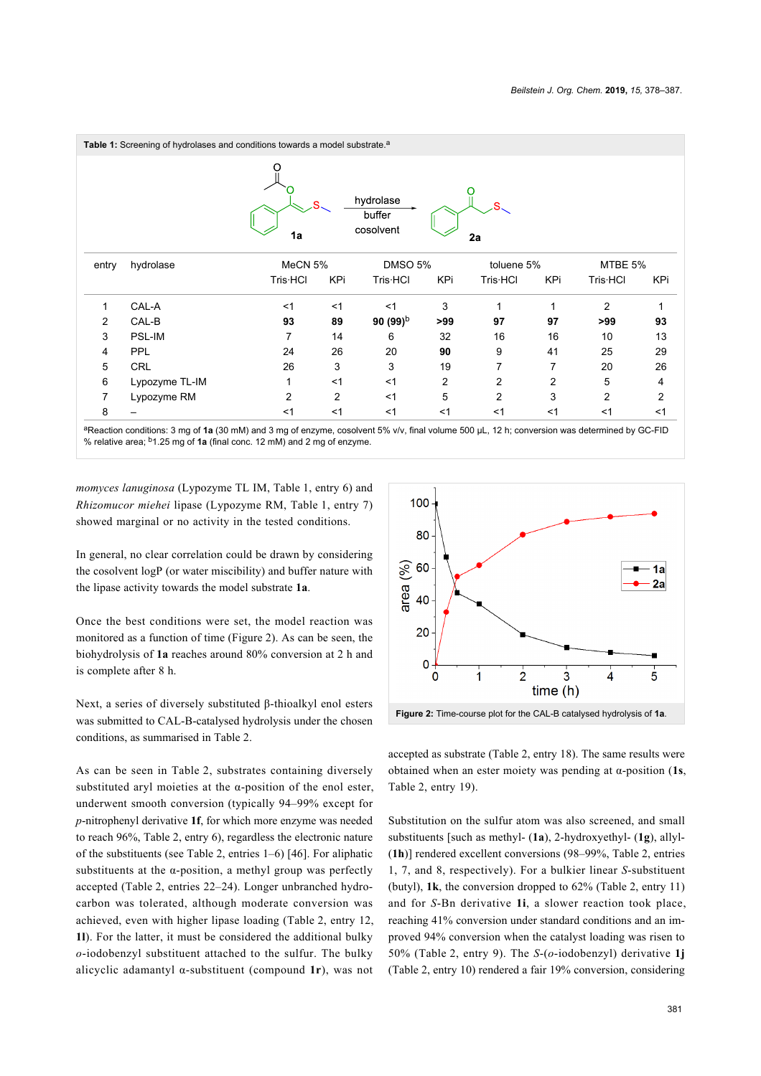<span id="page-3-0"></span>

<sup>a</sup>Reaction conditions: 3 mg of **1a** (30 mM) and 3 mg of enzyme, cosolvent 5% v/v, final volume 500 μL, 12 h; conversion was determined by GC-FID % relative area; b1.25 mg of **1a** (final conc. 12 mM) and 2 mg of enzyme.

*momyces lanuginosa* (Lypozyme TL IM, [Table 1,](#page-3-0) entry 6) and *Rhizomucor miehei* lipase (Lypozyme RM, [Table 1,](#page-3-0) entry 7) showed marginal or no activity in the tested conditions.

In general, no clear correlation could be drawn by considering the cosolvent logP (or water miscibility) and buffer nature with the lipase activity towards the model substrate **1a**.

Once the best conditions were set, the model reaction was monitored as a function of time [\(Figure 2](#page-3-1)). As can be seen, the biohydrolysis of **1a** reaches around 80% conversion at 2 h and is complete after 8 h.

Next, a series of diversely substituted β-thioalkyl enol esters was submitted to CAL-B-catalysed hydrolysis under the chosen conditions, as summarised in [Table 2.](#page-4-0)

As can be seen in [Table 2](#page-4-0), substrates containing diversely substituted aryl moieties at the α-position of the enol ester, underwent smooth conversion (typically 94–99% except for *p*-nitrophenyl derivative **1f**, for which more enzyme was needed to reach 96%, [Table 2,](#page-4-0) entry 6), regardless the electronic nature of the substituents (see [Table 2,](#page-4-0) entries 1–6) [\[46\].](#page-8-21) For aliphatic substituents at the  $\alpha$ -position, a methyl group was perfectly accepted ([Table 2](#page-4-0), entries 22–24). Longer unbranched hydrocarbon was tolerated, although moderate conversion was achieved, even with higher lipase loading ([Table 2](#page-4-0), entry 12, **1l**). For the latter, it must be considered the additional bulky *o*-iodobenzyl substituent attached to the sulfur. The bulky alicyclic adamantyl α-substituent (compound **1r**), was not

<span id="page-3-1"></span>

accepted as substrate ([Table 2](#page-4-0), entry 18). The same results were obtained when an ester moiety was pending at α-position (**1s**, [Table 2,](#page-4-0) entry 19).

Substitution on the sulfur atom was also screened, and small substituents [such as methyl- (**1a**), 2-hydroxyethyl- (**1g**), allyl- (**1h**)] rendered excellent conversions (98–99%, [Table 2](#page-4-0), entries 1, 7, and 8, respectively). For a bulkier linear *S*-substituent (butyl), **1k**, the conversion dropped to 62% [\(Table 2](#page-4-0), entry 11) and for *S*-Bn derivative **1i**, a slower reaction took place, reaching 41% conversion under standard conditions and an improved 94% conversion when the catalyst loading was risen to 50% [\(Table 2](#page-4-0), entry 9). The *S*-(*o*-iodobenzyl) derivative **1j** ([Table 2](#page-4-0), entry 10) rendered a fair 19% conversion, considering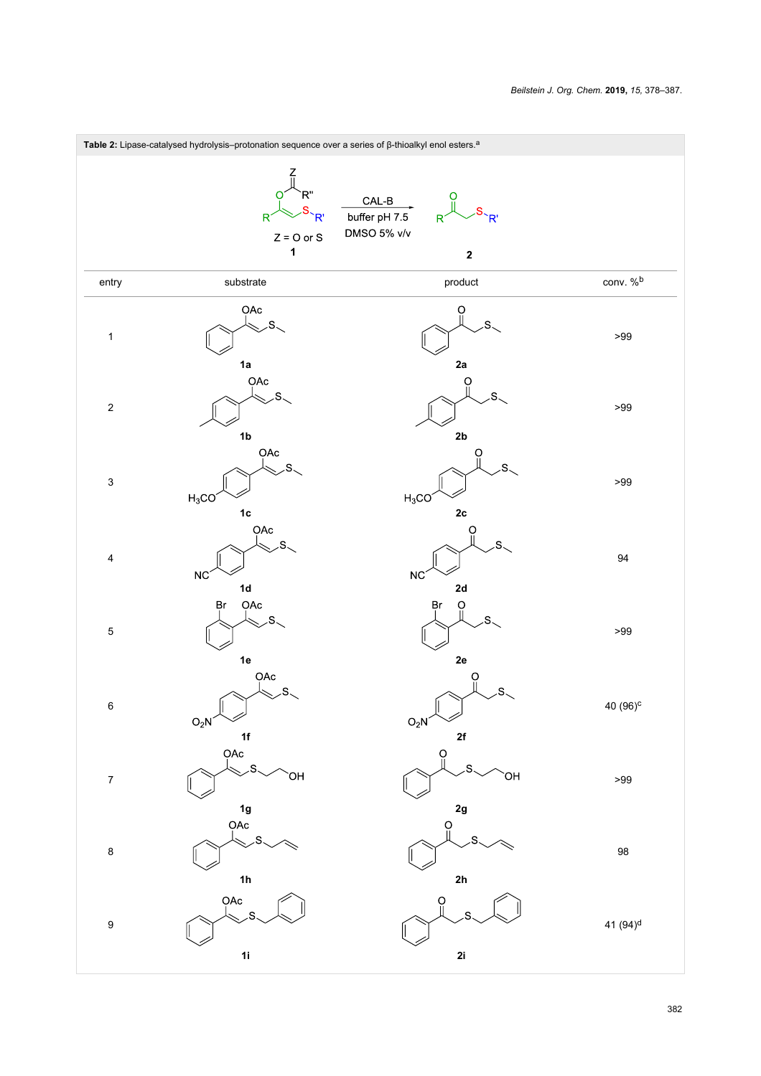<span id="page-4-0"></span>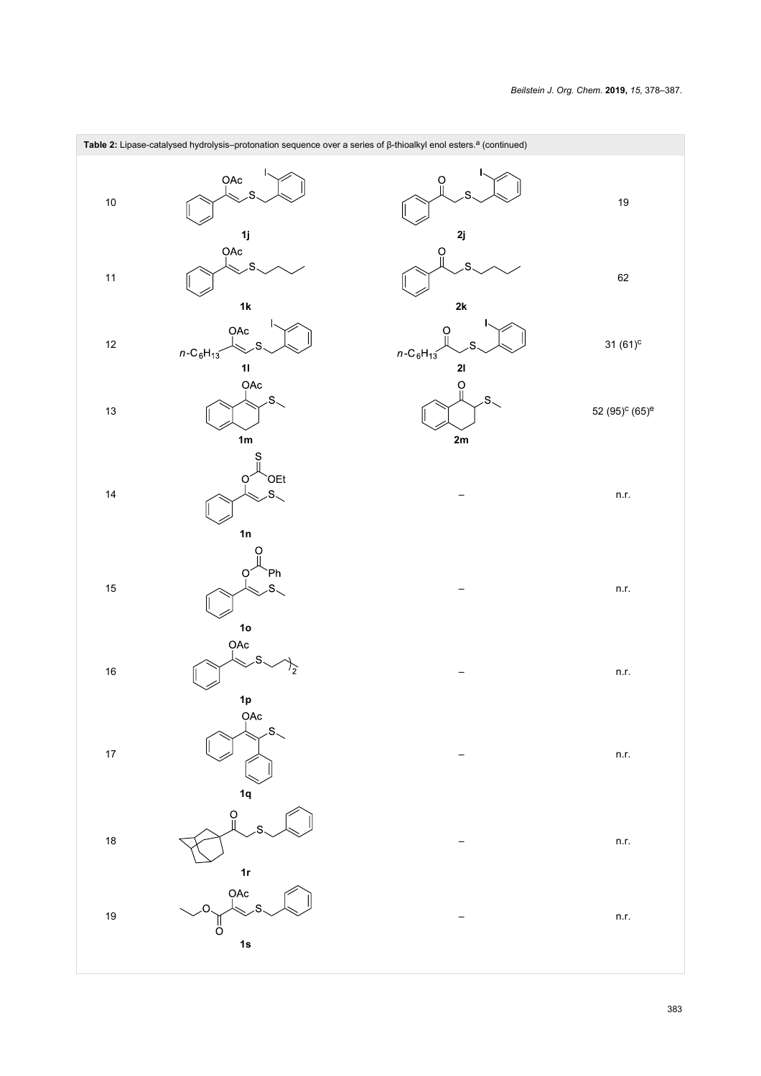

383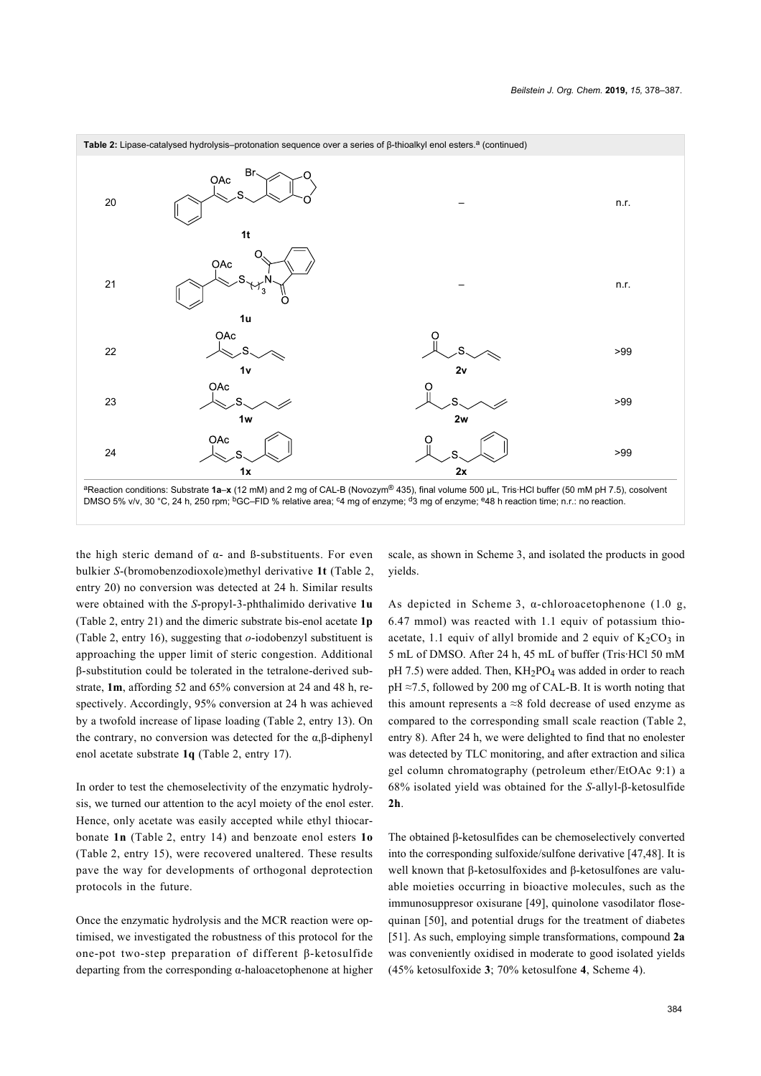

the high steric demand of  $α$ - and  $β$ -substituents. For even bulkier *S*-(bromobenzodioxole)methyl derivative **1t** ([Table 2](#page-4-0), entry 20) no conversion was detected at 24 h. Similar results were obtained with the *S*-propyl-3-phthalimido derivative **1u** ([Table 2,](#page-4-0) entry 21) and the dimeric substrate bis-enol acetate **1p** ([Table 2](#page-4-0), entry 16), suggesting that *o*-iodobenzyl substituent is approaching the upper limit of steric congestion. Additional β-substitution could be tolerated in the tetralone-derived substrate, **1m**, affording 52 and 65% conversion at 24 and 48 h, respectively. Accordingly, 95% conversion at 24 h was achieved by a twofold increase of lipase loading ([Table 2,](#page-4-0) entry 13). On the contrary, no conversion was detected for the α,β-diphenyl enol acetate substrate **1q** [\(Table 2](#page-4-0), entry 17).

In order to test the chemoselectivity of the enzymatic hydrolysis, we turned our attention to the acyl moiety of the enol ester. Hence, only acetate was easily accepted while ethyl thiocarbonate **1n** ([Table 2](#page-4-0), entry 14) and benzoate enol esters **1o** ([Table 2](#page-4-0), entry 15), were recovered unaltered. These results pave the way for developments of orthogonal deprotection protocols in the future.

Once the enzymatic hydrolysis and the MCR reaction were optimised, we investigated the robustness of this protocol for the one-pot two-step preparation of different β-ketosulfide departing from the corresponding α-haloacetophenone at higher

scale, as shown in [Scheme 3](#page-7-3), and isolated the products in good yields.

As depicted in [Scheme 3](#page-7-3),  $\alpha$ -chloroacetophenone (1.0 g, 6.47 mmol) was reacted with 1.1 equiv of potassium thioacetate, 1.1 equiv of allyl bromide and 2 equiv of  $K_2CO_3$  in 5 mL of DMSO. After 24 h, 45 mL of buffer (Tris·HCl 50 mM pH 7.5) were added. Then,  $KH_2PO_4$  was added in order to reach pH ≈7.5, followed by 200 mg of CAL-B. It is worth noting that this amount represents a  $\approx$ 8 fold decrease of used enzyme as compared to the corresponding small scale reaction ([Table 2](#page-4-0), entry 8). After 24 h, we were delighted to find that no enolester was detected by TLC monitoring, and after extraction and silica gel column chromatography (petroleum ether/EtOAc 9:1) a 68% isolated yield was obtained for the *S*-allyl-β-ketosulfide **2h**.

The obtained β-ketosulfides can be chemoselectively converted into the corresponding sulfoxide/sulfone derivative [\[47,48\]](#page-8-22). It is well known that β-ketosulfoxides and β-ketosulfones are valuable moieties occurring in bioactive molecules, such as the immunosuppresor oxisurane [\[49\]](#page-8-23), quinolone vasodilator flosequinan [\[50\]](#page-8-24), and potential drugs for the treatment of diabetes [\[51\].](#page-8-25) As such, employing simple transformations, compound **2a** was conveniently oxidised in moderate to good isolated yields (45% ketosulfoxide **3**; 70% ketosulfone **4**, [Scheme 4](#page-7-4)).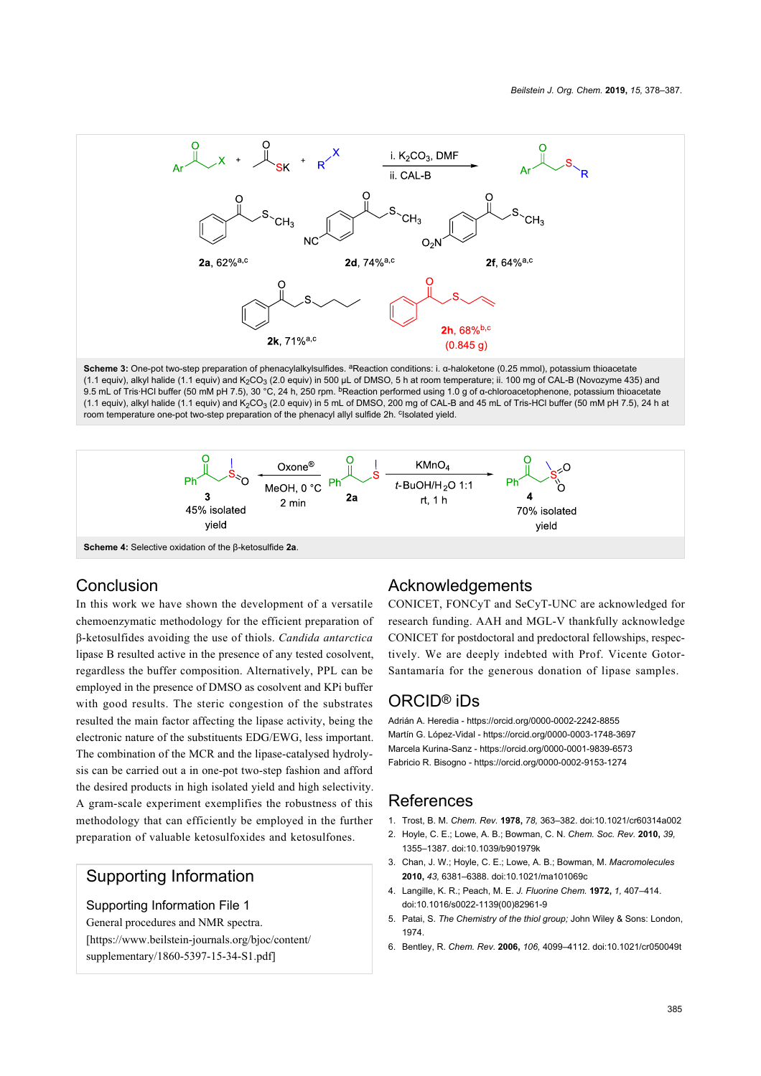<span id="page-7-3"></span>

<span id="page-7-4"></span>(1.1 equiv), alkyl halide (1.1 equiv) and K<sub>2</sub>CO<sub>3</sub> (2.0 equiv) in 5 mL of DMSO, 200 mg of CAL-B and 45 mL of Tris-HCl buffer (50 mM pH 7.5), 24 h at room temperature one-pot two-step preparation of the phenacyl allyl sulfide 2h. <sup>c</sup>lsolated yield.



### **Conclusion**

In this work we have shown the development of a versatile chemoenzymatic methodology for the efficient preparation of β-ketosulfides avoiding the use of thiols. *Candida antarctica* lipase B resulted active in the presence of any tested cosolvent, regardless the buffer composition. Alternatively, PPL can be employed in the presence of DMSO as cosolvent and KPi buffer with good results. The steric congestion of the substrates resulted the main factor affecting the lipase activity, being the electronic nature of the substituents EDG/EWG, less important. The combination of the MCR and the lipase-catalysed hydrolysis can be carried out a in one-pot two-step fashion and afford the desired products in high isolated yield and high selectivity. A gram-scale experiment exemplifies the robustness of this methodology that can efficiently be employed in the further preparation of valuable ketosulfoxides and ketosulfones.

### Supporting Information

#### Supporting Information File 1

General procedures and NMR spectra. [\[https://www.beilstein-journals.org/bjoc/content/](https://www.beilstein-journals.org/bjoc/content/supplementary/1860-5397-15-34-S1.pdf) [supplementary/1860-5397-15-34-S1.pdf\]](https://www.beilstein-journals.org/bjoc/content/supplementary/1860-5397-15-34-S1.pdf)

### Acknowledgements

CONICET, FONCyT and SeCyT-UNC are acknowledged for research funding. AAH and MGL-V thankfully acknowledge CONICET for postdoctoral and predoctoral fellowships, respectively. We are deeply indebted with Prof. Vicente Gotor-Santamaría for the generous donation of lipase samples.

# ORCID® iDs

Adrián A. Heredia -<https://orcid.org/0000-0002-2242-8855> Martín G. López-Vidal - <https://orcid.org/0000-0003-1748-3697> Marcela Kurina-Sanz -<https://orcid.org/0000-0001-9839-6573> Fabricio R. Bisogno - <https://orcid.org/0000-0002-9153-1274>

# References

- <span id="page-7-0"></span>1. Trost, B. M. *Chem. Rev.* **1978,** *78,* 363–382. [doi:10.1021/cr60314a002](https://doi.org/10.1021%2Fcr60314a002)
- 2. Hoyle, C. E.; Lowe, A. B.; Bowman, C. N. *Chem. Soc. Rev.* **2010,** *39,* 1355–1387. [doi:10.1039/b901979k](https://doi.org/10.1039%2Fb901979k)
- <span id="page-7-1"></span>3. Chan, J. W.; Hoyle, C. E.; Lowe, A. B.; Bowman, M. *Macromolecules* **2010,** *43,* 6381–6388. [doi:10.1021/ma101069c](https://doi.org/10.1021%2Fma101069c)
- 4. Langille, K. R.; Peach, M. E. *J. Fluorine Chem.* **1972,** *1,* 407–414. [doi:10.1016/s0022-1139\(00\)82961-9](https://doi.org/10.1016%2Fs0022-1139%2800%2982961-9)
- <span id="page-7-2"></span>5. Patai, S. *The Chemistry of the thiol group;* John Wiley & Sons: London, 1974.
- 6. Bentley, R. *Chem. Rev.* **2006,** *106,* 4099–4112. [doi:10.1021/cr050049t](https://doi.org/10.1021%2Fcr050049t)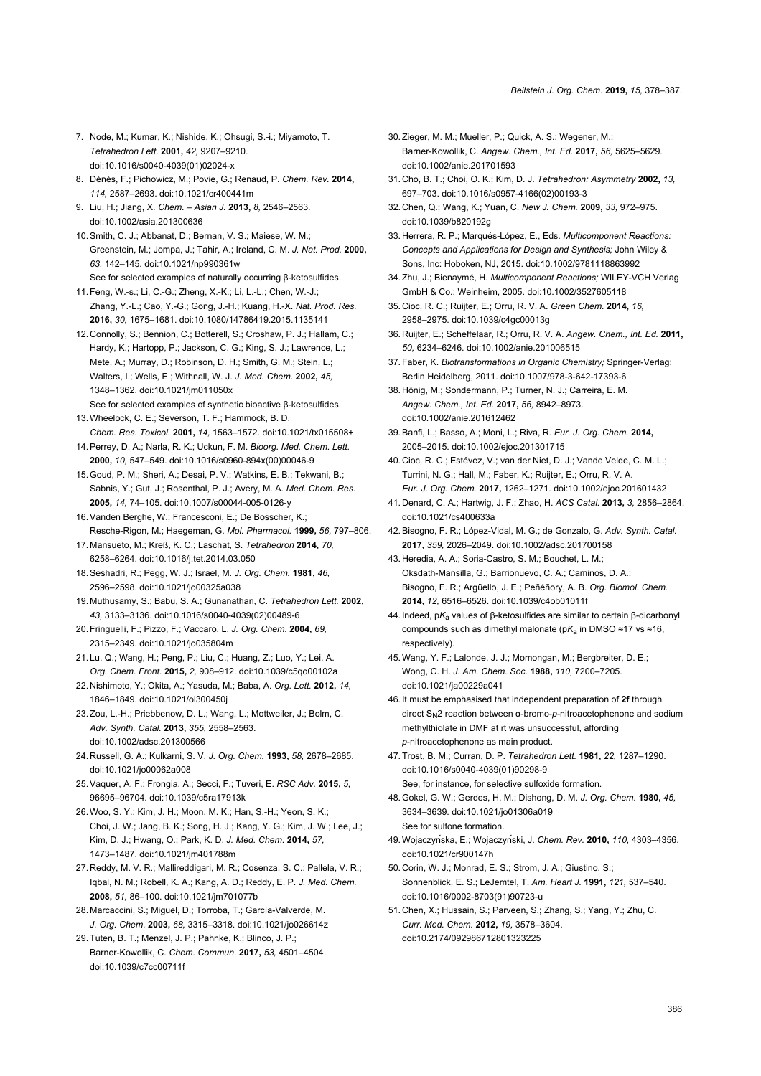- 7. Node, M.; Kumar, K.; Nishide, K.; Ohsugi, S.-i.; Miyamoto, T. *Tetrahedron Lett.* **2001,** *42,* 9207–9210. [doi:10.1016/s0040-4039\(01\)02024-x](https://doi.org/10.1016%2Fs0040-4039%2801%2902024-x)
- 8. Dénès, F.; Pichowicz, M.; Povie, G.; Renaud, P. *Chem. Rev.* **2014,** *114,* 2587–2693. [doi:10.1021/cr400441m](https://doi.org/10.1021%2Fcr400441m)
- <span id="page-8-0"></span>9. Liu, H.; Jiang, X. *Chem. – Asian J.* **2013,** *8,* 2546–2563. [doi:10.1002/asia.201300636](https://doi.org/10.1002%2Fasia.201300636)
- <span id="page-8-1"></span>10.Smith, C. J.; Abbanat, D.; Bernan, V. S.; Maiese, W. M.; Greenstein, M.; Jompa, J.; Tahir, A.; Ireland, C. M. *J. Nat. Prod.* **2000,** *63,* 142–145. [doi:10.1021/np990361w](https://doi.org/10.1021%2Fnp990361w) See for selected examples of naturally occurring β-ketosulfides.
- 11.Feng, W.-s.; Li, C.-G.; Zheng, X.-K.; Li, L.-L.; Chen, W.-J.; Zhang, Y.-L.; Cao, Y.-G.; Gong, J.-H.; Kuang, H.-X. *Nat. Prod. Res.* **2016,** *30,* 1675–1681. [doi:10.1080/14786419.2015.1135141](https://doi.org/10.1080%2F14786419.2015.1135141)
- <span id="page-8-2"></span>12. Connolly, S.; Bennion, C.; Botterell, S.; Croshaw, P. J.; Hallam, C.; Hardy, K.; Hartopp, P.; Jackson, C. G.; King, S. J.; Lawrence, L.; Mete, A.; Murray, D.; Robinson, D. H.; Smith, G. M.; Stein, L.; Walters, I.; Wells, E.; Withnall, W. J. *J. Med. Chem.* **2002,** *45,* 1348–1362. [doi:10.1021/jm011050x](https://doi.org/10.1021%2Fjm011050x) See for selected examples of synthetic bioactive β-ketosulfides.
- <span id="page-8-8"></span>13.Wheelock, C. E.; Severson, T. F.; Hammock, B. D. *Chem. Res. Toxicol.* **2001,** *14,* 1563–1572. [doi:10.1021/tx015508+](https://doi.org/10.1021%2Ftx015508%2B)
- 14.Perrey, D. A.; Narla, R. K.; Uckun, F. M. *Bioorg. Med. Chem. Lett.* **2000,** *10,* 547–549. [doi:10.1016/s0960-894x\(00\)00046-9](https://doi.org/10.1016%2Fs0960-894x%2800%2900046-9)
- 15.Goud, P. M.; Sheri, A.; Desai, P. V.; Watkins, E. B.; Tekwani, B.; Sabnis, Y.; Gut, J.; Rosenthal, P. J.; Avery, M. A. *Med. Chem. Res.* **2005,** *14,* 74–105. [doi:10.1007/s00044-005-0126-y](https://doi.org/10.1007%2Fs00044-005-0126-y)
- 16.Vanden Berghe, W.; Francesconi, E.; De Bosscher, K.; Resche-Rigon, M.; Haegeman, G. *Mol. Pharmacol.* **1999,** *56,* 797–806.
- <span id="page-8-3"></span>17. Mansueto, M.; Kreß, K. C.; Laschat, S. *Tetrahedron* **2014,** *70,* 6258–6264. [doi:10.1016/j.tet.2014.03.050](https://doi.org/10.1016%2Fj.tet.2014.03.050)
- 18.Seshadri, R.; Pegg, W. J.; Israel, M. *J. Org. Chem.* **1981,** *46,* 2596–2598. [doi:10.1021/jo00325a038](https://doi.org/10.1021%2Fjo00325a038)
- 19. Muthusamy, S.; Babu, S. A.; Gunanathan, C. *Tetrahedron Lett.* **2002,** *43,* 3133–3136. [doi:10.1016/s0040-4039\(02\)00489-6](https://doi.org/10.1016%2Fs0040-4039%2802%2900489-6)
- 20.Fringuelli, F.; Pizzo, F.; Vaccaro, L. *J. Org. Chem.* **2004,** *69,* 2315–2349. [doi:10.1021/jo035804m](https://doi.org/10.1021%2Fjo035804m)
- 21. Lu, Q.; Wang, H.; Peng, P.; Liu, C.; Huang, Z.; Luo, Y.; Lei, A. *Org. Chem. Front.* **2015,** *2,* 908–912. [doi:10.1039/c5qo00102a](https://doi.org/10.1039%2Fc5qo00102a)
- <span id="page-8-4"></span>22. Nishimoto, Y.; Okita, A.; Yasuda, M.; Baba, A. *Org. Lett.* **2012,** *14,* 1846–1849. [doi:10.1021/ol300450j](https://doi.org/10.1021%2Fol300450j)
- <span id="page-8-5"></span>23.Zou, L.-H.; Priebbenow, D. L.; Wang, L.; Mottweiler, J.; Bolm, C. *Adv. Synth. Catal.* **2013,** *355,* 2558–2563. [doi:10.1002/adsc.201300566](https://doi.org/10.1002%2Fadsc.201300566)
- <span id="page-8-6"></span>24. Russell, G. A.; Kulkarni, S. V. *J. Org. Chem.* **1993,** *58,* 2678–2685. [doi:10.1021/jo00062a008](https://doi.org/10.1021%2Fjo00062a008)
- <span id="page-8-7"></span>25.Vaquer, A. F.; Frongia, A.; Secci, F.; Tuveri, E. *RSC Adv.* **2015,** *5,* 96695–96704. [doi:10.1039/c5ra17913k](https://doi.org/10.1039%2Fc5ra17913k)
- 26.Woo, S. Y.; Kim, J. H.; Moon, M. K.; Han, S.-H.; Yeon, S. K.; Choi, J. W.; Jang, B. K.; Song, H. J.; Kang, Y. G.; Kim, J. W.; Lee, J.; Kim, D. J.; Hwang, O.; Park, K. D. *J. Med. Chem.* **2014,** *57,* 1473–1487. [doi:10.1021/jm401788m](https://doi.org/10.1021%2Fjm401788m)
- 27. Reddy, M. V. R.; Mallireddigari, M. R.; Cosenza, S. C.; Pallela, V. R.; Iqbal, N. M.; Robell, K. A.; Kang, A. D.; Reddy, E. P. *J. Med. Chem.* **2008,** *51,* 86–100. [doi:10.1021/jm701077b](https://doi.org/10.1021%2Fjm701077b)
- <span id="page-8-9"></span>28. Marcaccini, S.; Miguel, D.; Torroba, T.; García-Valverde, M. *J. Org. Chem.* **2003,** *68,* 3315–3318. [doi:10.1021/jo026614z](https://doi.org/10.1021%2Fjo026614z)
- <span id="page-8-10"></span>29.Tuten, B. T.; Menzel, J. P.; Pahnke, K.; Blinco, J. P.; Barner-Kowollik, C. *Chem. Commun.* **2017,** *53,* 4501–4504. [doi:10.1039/c7cc00711f](https://doi.org/10.1039%2Fc7cc00711f)
- 30.Zieger, M. M.; Mueller, P.; Quick, A. S.; Wegener, M.; Barner-Kowollik, C. *Angew. Chem., Int. Ed.* **2017,** *56,* 5625–5629. [doi:10.1002/anie.201701593](https://doi.org/10.1002%2Fanie.201701593)
- <span id="page-8-11"></span>31. Cho, B. T.; Choi, O. K.; Kim, D. J. *Tetrahedron: Asymmetry* **2002,** *13,* 697–703. [doi:10.1016/s0957-4166\(02\)00193-3](https://doi.org/10.1016%2Fs0957-4166%2802%2900193-3)
- <span id="page-8-12"></span>32. Chen, Q.; Wang, K.; Yuan, C. *New J. Chem.* **2009,** *33,* 972–975. [doi:10.1039/b820192g](https://doi.org/10.1039%2Fb820192g)
- <span id="page-8-13"></span>33. Herrera, R. P.; Marqués-López, E., Eds. *Multicomponent Reactions: Concepts and Applications for Design and Synthesis;* John Wiley & Sons, Inc: Hoboken, NJ, 2015. [doi:10.1002/9781118863992](https://doi.org/10.1002%2F9781118863992)
- 34.Zhu, J.; Bienaymé, H. *Multicomponent Reactions;* WILEY-VCH Verlag GmbH & Co.: Weinheim, 2005. [doi:10.1002/3527605118](https://doi.org/10.1002%2F3527605118)
- 35. Cioc, R. C.; Ruijter, E.; Orru, R. V. A. *Green Chem.* **2014,** *16,* 2958–2975. [doi:10.1039/c4gc00013g](https://doi.org/10.1039%2Fc4gc00013g)
- 36. Ruijter, E.; Scheffelaar, R.; Orru, R. V. A. *Angew. Chem., Int. Ed.* **2011,** *50,* 6234–6246. [doi:10.1002/anie.201006515](https://doi.org/10.1002%2Fanie.201006515)
- <span id="page-8-14"></span>37.Faber, K. *Biotransformations in Organic Chemistry;* Springer-Verlag: Berlin Heidelberg, 2011. [doi:10.1007/978-3-642-17393-6](https://doi.org/10.1007%2F978-3-642-17393-6)
- 38. Hönig, M.; Sondermann, P.; Turner, N. J.; Carreira, E. M. *Angew. Chem., Int. Ed.* **2017,** *56,* 8942–8973. [doi:10.1002/anie.201612462](https://doi.org/10.1002%2Fanie.201612462)
- <span id="page-8-15"></span>39.Banfi, L.; Basso, A.; Moni, L.; Riva, R. *Eur. J. Org. Chem.* **2014,** 2005–2015. [doi:10.1002/ejoc.201301715](https://doi.org/10.1002%2Fejoc.201301715)
- 40. Cioc, R. C.; Estévez, V.; van der Niet, D. J.; Vande Velde, C. M. L.; Turrini, N. G.; Hall, M.; Faber, K.; Ruijter, E.; Orru, R. V. A. *Eur. J. Org. Chem.* **2017,** 1262–1271. [doi:10.1002/ejoc.201601432](https://doi.org/10.1002%2Fejoc.201601432)
- <span id="page-8-16"></span>41. Denard, C. A.; Hartwig, J. F.; Zhao, H. *ACS Catal.* **2013,** *3,* 2856–2864. [doi:10.1021/cs400633a](https://doi.org/10.1021%2Fcs400633a)
- <span id="page-8-17"></span>42.Bisogno, F. R.; López-Vidal, M. G.; de Gonzalo, G. *Adv. Synth. Catal.* **2017,** *359,* 2026–2049. [doi:10.1002/adsc.201700158](https://doi.org/10.1002%2Fadsc.201700158)
- <span id="page-8-18"></span>43. Heredia, A. A.; Soria-Castro, S. M.; Bouchet, L. M.; Oksdath-Mansilla, G.; Barrionuevo, C. A.; Caminos, D. A.; Bisogno, F. R.; Argüello, J. E.; Peñéñory, A. B. *Org. Biomol. Chem.* **2014,** *12,* 6516–6526. [doi:10.1039/c4ob01011f](https://doi.org/10.1039%2Fc4ob01011f)
- <span id="page-8-19"></span>44. Indeed, p*K*a values of β-ketosulfides are similar to certain β-dicarbonyl compounds such as dimethyl malonate (p*K*a in DMSO ≈17 vs ≈16, respectively).
- <span id="page-8-20"></span>45.Wang, Y. F.; Lalonde, J. J.; Momongan, M.; Bergbreiter, D. E.; Wong, C. H. *J. Am. Chem. Soc.* **1988,** *110,* 7200–7205. [doi:10.1021/ja00229a041](https://doi.org/10.1021%2Fja00229a041)
- <span id="page-8-21"></span>46. It must be emphasised that independent preparation of **2f** through direct S<sub>N</sub>2 reaction between α-bromo-*p*-nitroacetophenone and sodium methylthiolate in DMF at rt was unsuccessful, affording *p*-nitroacetophenone as main product.
- <span id="page-8-22"></span>47.Trost, B. M.; Curran, D. P. *Tetrahedron Lett.* **1981,** *22,* 1287–1290. [doi:10.1016/s0040-4039\(01\)90298-9](https://doi.org/10.1016%2Fs0040-4039%2801%2990298-9) See, for instance, for selective sulfoxide formation.
- 48.Gokel, G. W.; Gerdes, H. M.; Dishong, D. M. *J. Org. Chem.* **1980,** *45,* 3634–3639. [doi:10.1021/jo01306a019](https://doi.org/10.1021%2Fjo01306a019) See for sulfone formation.
- <span id="page-8-23"></span>49.Wojaczyńska, E.; Wojaczyński, J. *Chem. Rev.* **2010,** *110,* 4303–4356. [doi:10.1021/cr900147h](https://doi.org/10.1021%2Fcr900147h)
- <span id="page-8-24"></span>50. Corin, W. J.; Monrad, E. S.; Strom, J. A.; Giustino, S.; Sonnenblick, E. S.; LeJemtel, T. *Am. Heart J.* **1991,** *121,* 537–540. [doi:10.1016/0002-8703\(91\)90723-u](https://doi.org/10.1016%2F0002-8703%2891%2990723-u)
- <span id="page-8-25"></span>51. Chen, X.; Hussain, S.; Parveen, S.; Zhang, S.; Yang, Y.; Zhu, C. *Curr. Med. Chem.* **2012,** *19,* 3578–3604. [doi:10.2174/092986712801323225](https://doi.org/10.2174%2F092986712801323225)